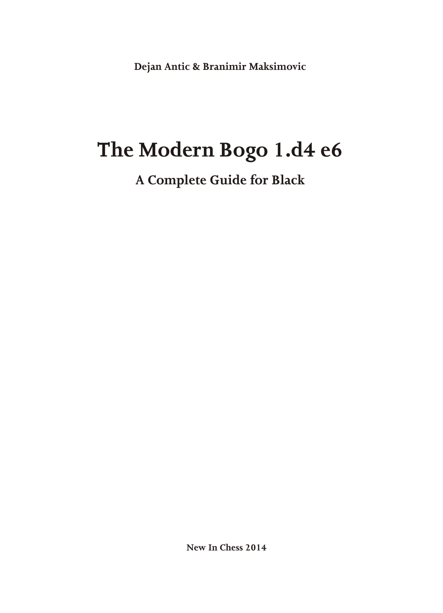Dejan Antic & Branimir Maksimovic

# The Modern Bogo 1.d4 e6

A Complete Guide for Black

New In Chess 2014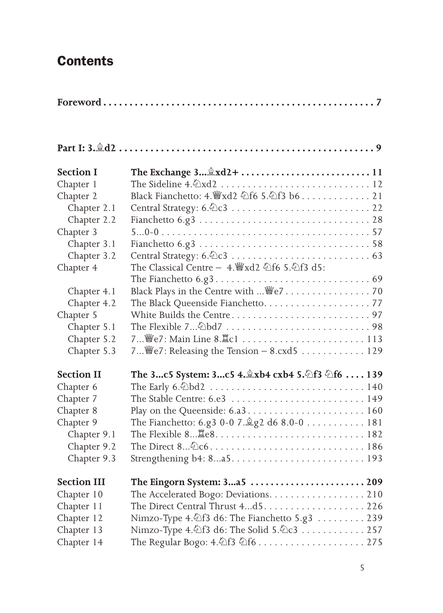### **Contents**

|--|--|

| <b>Section I</b>   | The Exchange $3$ $2 \times 12 + $ $$ $$ $$ $$ $$ $$ $$ $$ |
|--------------------|-----------------------------------------------------------|
| Chapter 1          |                                                           |
| Chapter 2          | Black Fianchetto: 4. 曾xd2 公f6 5.公f3 b6 21                 |
| Chapter 2.1        |                                                           |
| Chapter 2.2        |                                                           |
| Chapter 3          |                                                           |
| Chapter 3.1        |                                                           |
| Chapter 3.2        |                                                           |
| Chapter 4          | The Classical Centre - 4. Ward2 4f6 5.4f3 d5:             |
|                    |                                                           |
| Chapter 4.1        | Black Plays in the Centre with  \cdot 27 70               |
| Chapter 4.2        |                                                           |
| Chapter 5          |                                                           |
| Chapter 5.1        |                                                           |
| Chapter 5.2        |                                                           |
| Chapter 5.3        | 7 We7: Releasing the Tension $-$ 8.cxd5 129               |
| <b>Section II</b>  | The 3c5 System: 3c5 4. &xb4 cxb4 5. 2f3 2f6  139          |
| Chapter 6          |                                                           |
| Chapter 7          |                                                           |
| Chapter 8          |                                                           |
| Chapter 9          | The Fianchetto: 6.g3 0-0 7. $\angle$ g2 d6 8.0-0 181      |
| Chapter 9.1        |                                                           |
| Chapter 9.2        |                                                           |
| Chapter 9.3        |                                                           |
| <b>Section III</b> | The Eingorn System: 325  209                              |
| Chapter 10         | The Accelerated Bogo: Deviations. 210                     |
| Chapter 11         |                                                           |
| Chapter 12         | Nimzo-Type 4.2f3 d6: The Fianchetto 5.g3 239              |
| Chapter 13         | Nimzo-Type 4. 公f3 d6: The Solid 5. 公c3 257                |
| Chapter 14         |                                                           |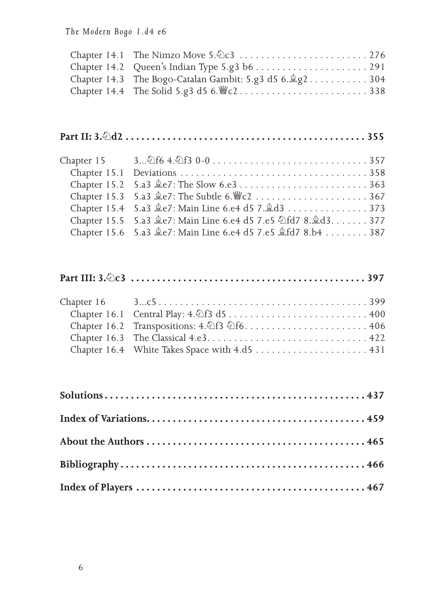The Modern Bogo 1.d4 e6

| Chapter 14.3 The Bogo-Catalan Gambit: 5.g3 d5 $6.\angle\$ g2 304 |  |
|------------------------------------------------------------------|--|
| Chapter 14.4 The Solid 5.g3 d5 $6.\n\&c2.\n \n \n \n \n338$      |  |

### 

| Chapter 15 $3\&64.\&f30-0.\ldots\ldots\ldots\ldots357$      |
|-------------------------------------------------------------|
|                                                             |
| Chapter 15.2 5.a3 $\hat{\mathbb{Q}}$ e7: The Slow 6.e3363   |
| Chapter 15.3 5.a3 e2: The Subtle 6. $\mathscr{C}$ c2 367    |
| Chapter 15.4 5.a3 ge7: Main Line 6.e4 d5 7.gd3 373          |
| Chapter 15.5 5.a3 奠e7: Main Line 6.e4 d5 7.e5 公fd7 8.奠d3377 |
| Chapter 15.6 5.a3 ge7: Main Line 6.e4 d5 7.e5 gfd7 8.b4 387 |
|                                                             |

### 

| Chapter 16.2 Transpositions: $4.\overline{\bigcirc}13 \overline{\bigcirc}16$ 406 |
|----------------------------------------------------------------------------------|
|                                                                                  |
|                                                                                  |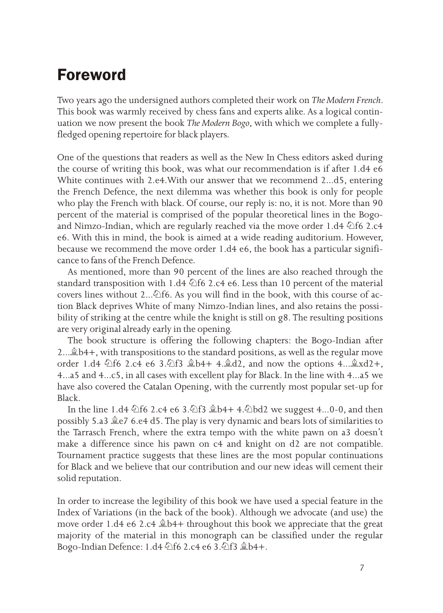# **Foreword**

Two years ago the undersigned authors completed their work on *The Modern French*. This book was warmly received by chess fans and experts alike. As a logical continuation we now present the book *The Modern Bogo*, with which we complete a fullyfledged opening repertoire for black players.

One of the questions that readers as well as the New In Chess editors asked during the course of writing this book, was what our recommendation is if after 1.d4 e6 White continues with 2.e4.With our answer that we recommend 2...d5, entering the French Defence, the next dilemma was whether this book is only for people who play the French with black. Of course, our reply is: no, it is not. More than 90 percent of the material is comprised of the popular theoretical lines in the Bogoand Nimzo-Indian, which are regularly reached via the move order 1.d4  $\&$  f6 2.c4 e6. With this in mind, the book is aimed at a wide reading auditorium. However, because we recommend the move order  $1. d4$  e6, the book has a particular significance to fans of the French Defence.

As mentioned, more than 90 percent of the lines are also reached through the standard transposition with 1.d4  $\triangle$  f6 2.c4 e6. Less than 10 percent of the material covers lines without 2... $\triangle$ f6. As you will find in the book, with this course of action Black deprives White of many Nimzo-Indian lines, and also retains the possibility of striking at the centre while the knight is still on g8. The resulting positions are very original already early in the opening.

The book structure is offering the following chapters: the Bogo-Indian after  $2...\&b4+$ , with transpositions to the standard positions, as well as the regular move order 1.d4  $\&$ f6 2.c4 e6 3. $\&$ f3  $\&$ b4+ 4. $\&$ d2, and now the options 4... $\&$ xd2+, 4...a5 and 4...c5, in all cases with excellent play for Black. In the line with 4...a5 we have also covered the Catalan Opening, with the currently most popular set-up for Black.

In the line 1.d4  $\&$ f6 2.c4 e6 3. $\&$ f3  $\&$ b4+ 4. $\&$ bd2 we suggest 4...0-0, and then possibly 5.a3  $2e7$  6.e4 d5. The play is very dynamic and bears lots of similarities to the Tarrasch French, where the extra tempo with the white pawn on a3 doesn't make a difference since his pawn on  $c4$  and knight on  $d2$  are not compatible. Tournament practice suggests that these lines are the most popular continuations for Black and we believe that our contribution and our new ideas will cement their solid reputation.

In order to increase the legibility of this book we have used a special feature in the Index of Variations (in the back of the book). Although we advocate (and use) the move order 1.d4 e6 2.c4  $\&b4+$  throughout this book we appreciate that the great majority of the material in this monograph can be classified under the regular Bogo-Indian Defence: 1.d4  $\triangle$ f6 2.c4 e6 3. $\triangle$ f3  $\triangle$ b4+.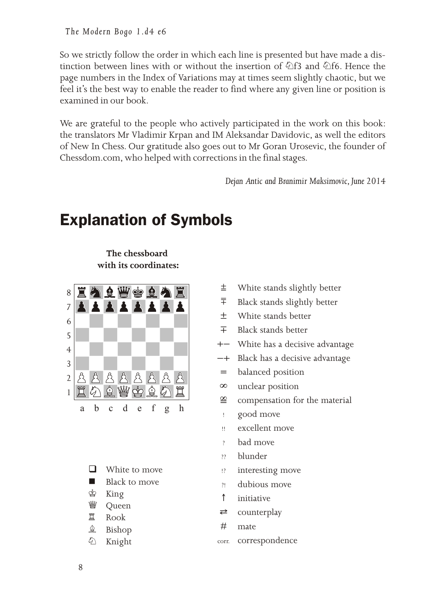The Modern Bogo 1.d4 e6

So we strictly follow the order in which each line is presented but have made a distinction between lines with or without the insertion of  $\triangle f3$  and  $\triangle f6$ . Hence the page numbers in the Index of Variations may at times seem slightly chaotic, but we feel it's the best way to enable the reader to find where any given line or position is examined in our book.

We are grateful to the people who actively participated in the work on this book: the translators Mr Vladimir Krpan and IM Aleksandar Davidovic, as well the editors of New In Chess. Our gratitude also goes out to Mr Goran Urosevic, the founder of Chessdom.com, who helped with corrections in the final stages.

*Dejan An tic and Branimir Maksimovic, June 2014*

# **Explanation of Symbols**

**The chessboard**   $with its coordinates:$ 



- $\Box$  White to move
- $\blacksquare$  Black to move
- ® King
- **響** Queen
- 置 Rook
- **鱼** Bishop
- À Knight
- White stands slightly better  $\pm$
- Black stands slightly better â
- White stands better 土
- Black stands better  $\mp$
- +- White has a decisive advantage
- Black has a decisive advantage  $-+$
- balanced position  $\! =$
- unclear position  $\infty$
- compensation for the material ¤
- good move !
- excellent move !!
- bad move ?
- blun der ??
- interesting move !?
- dubious move ?!
- initiative  $\uparrow$
- counterplay ÿ
- mate #
- correspondence corr.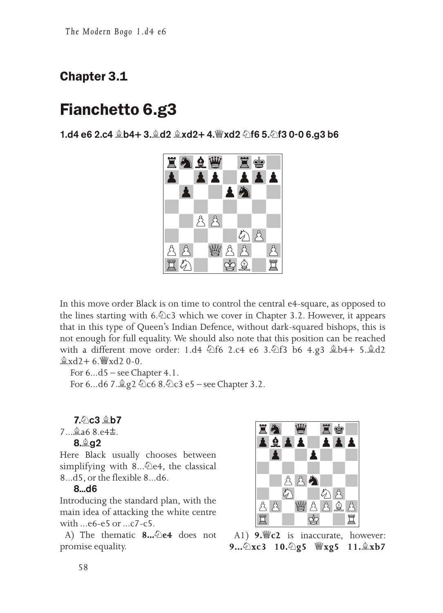### **Chapter 3.1**

# **Fianchetto 6.g3**



In this move order Black is on time to control the central e4-square, as opposed to the lines starting with 6.  $\&$  c3 which we cover in Chapter 3.2. However, it appears that in this type of Queen's Indian Defence, without dark-squared bishops, this is not enough for full equality. We should also note that this position can be reached with a different move order: 1.d4 4f6 2.c4 e6 3.4f3 b6 4.g3  $\&b4+ 5.\&d2$  $\&$ xd2+6.  $\&$ xd20-0.

For  $6...d5$  – see Chapter 4.1.

For 6...d6 7.  $g$  2  $\&$  c6 8.  $\&$  c3 e5 – see Chapter 3.2.

7. C3 鱼b7

 $7 \dots$  \$ a 6 8 . e 4 $\pm$ .

#### 8. g2

Here Black usually chooses between simplifying with 8... De4, the classical 8...d5, or the flexible 8...d6.

#### $8...d6$

Introducing the standard plan, with the main idea of attacking the white centre with  $...$ e6-e5 or  $...$ c7-c5.

A) The thematic 8... 2e4 does not promise equality.



A1)  $9.$  C2 is inaccurate, however: 9... 公xc3 10. 公g5 營xg5 11. 盒xb7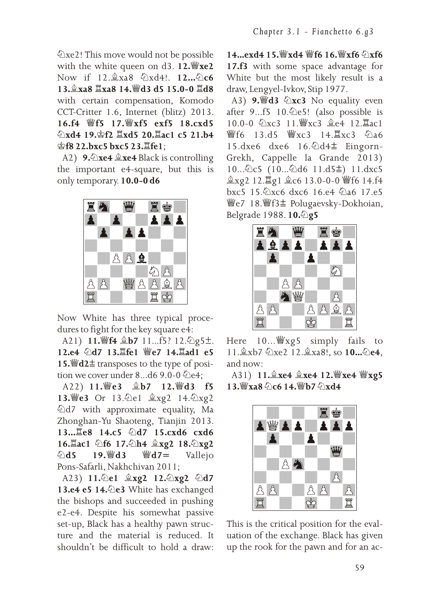⊘xe2! This move would not be possible with the white queen on d3. 12. xe2 Now if 12. xa8 勾xd4!, 12... Qc6 13. xa8 Xxa8 14. Wd3 d5 15.0-0 Xd8 with certain compensation, Komodo CCT-Critter 1.6, Internet (blitz) 2013. 16.f4 響f5 17. gxf5 exf5 18.cxd5 公xd4 19. f2 <u>Lxd5</u> 20. Lac1 c5 21.b4 會f8 22.bxc5 bxc5 23. Lfe1;

A2) 9.  $\triangle$ xe4  $\triangle$ xe4 Black is controlling the important e4-square, but this is only temporary. 10.0-0 d6



Now White has three typical procedures to fight for the key square e4:

A21) 11. 肾4 盒b7 11... f5? 12. ②g5±. 12.e4 公d7 13. fe1 響e7 14. ad1 e5 15.  $\mathbf{42} \pm \mathbf{transposes}$  to the type of position we cover under 8...d6 9.0-0 公e4;

A22) 11. 曾e3 盒b7 12. 曾d3 f5 13. e3 Or 13. @ e1 盒xg2 14. @ xg2 ⊘d7 with approximate equality, Ma Zhonghan-Yu Shaoteng, Tianjin 2013. 13... Le8 14.c5 公d7 15.cxd6 cxd6 16. ac1 公f6 17. 公h4 盒xg2 18. 公xg2 19. @ d3 營 $d7=$  $\triangle$ d5 Vallejo Pons-Safarli, Nakhchivan 2011;

A23) 11. e1 盒xg2 12. exg2 公d7 13.e4 e5 14. De3 White has exchanged the bishops and succeeded in pushing e2-e4. Despite his somewhat passive set-up, Black has a healthy pawn structure and the material is reduced. It shouldn't be difficult to hold a draw:

14. exd4 15. Wyxd4 Wf6 16. Wyxf6 公xf6 17.f3 with some space advantage for White but the most likely result is a draw, Lengyel-Ivkov, Stip 1977.

A3) 9. d3 公xc3 No equality even after 9...f5 10. De5! (also possible is 10.0-0 公xc3 11. \$xc3 ge4 12. Eac1 響f6 13.d5 響xc3 14. Ixc3 のa6 15.dxe6 dxe6 16. 包d4± Eingorn-Grekh, Cappelle la Grande 2013) 10... ①c5 (10... ②d6 11.d5±) 11.dxc5 鱼xg2 12. lg1 鱼c6 13.0-0-0 響f6 14.f4 bxc5 15.2xc6 dxc6 16.e4 2a6 17.e5 響e7 18. 響f3± Polugaevsky-Dokhoian, Belgrade 1988. 10.2g5



Here 10... Waxg5 simply fails to 11. xb7 公xe2 12. xa8!, so 10. . 公e4, and now:

A31) 11. xe4 盒xe4 12. WYxe4 WYxg5  $13.$  Wxa8  $\Diamond$  c6 14. Wh7  $\Diamond$  xd4



This is the critical position for the evaluation of the exchange. Black has given up the rook for the pawn and for an ac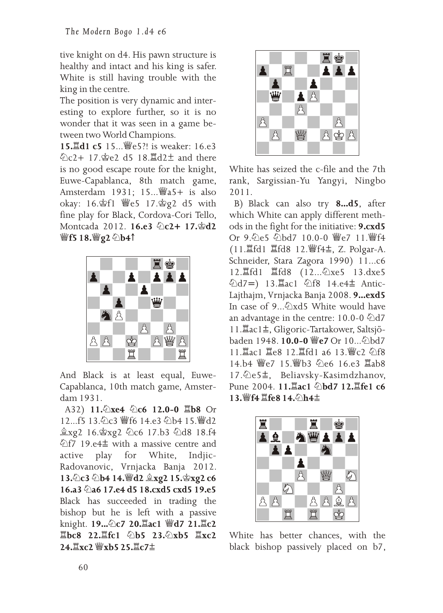tive knight on d4. His pawn structure is healthy and intact and his king is safer. White is still having trouble with the king in the centre.

The position is very dynamic and interesting to explore further, so it is no wonder that it was seen in a game between two World Champions.

15. d1 c5 15... | e5 ?! is weaker: 16.e3 公c2+ 17. ge2 d5 18. ld2<sup>+</sup> and there is no good escape route for the knight, Euwe-Capablanca, 8th match game, Amsterdam 1931; 15... [as also] okay: 16. 9f1 響e5 17. 9g2 d5 with fine play for Black, Cordova-Cori Tello, Montcada 2012. 16.e3 4 c2+ 17.\$d2 *Wf5* 18. Wg2 2b4↑



And Black is at least equal, Euwe-Capablanca, 10th match game, Amsterdam 1931.

A32) 11. xe4 2c6 12.0-0 国b8 Or 12...f5 13. 仑c3 響f6 14.e3 公b4 15. 曾d2 鱼xg2 16. gxg2 2c6 17.b3 2d8 18.f4 公f7 19.e4± with a massive centre and for active play White, Indjic-Radovanovic, Vrnjacka Banja 2012. 13. c3 2b4 14. 曾d2 gxg2 15. gxg2 c6 16.a3 4 a6 17.e4 d5 18.cxd5 cxd5 19.e5 Black has succeeded in trading the bishop but he is left with a passive knight. 19... 2c7 20. ac1 曾d7 21. Ic2  $\angle$  20.1 ( $\angle$ b5 23. $\angle$ xb5  $\angle$ xc2 24. Xc2 響xb5 25. Xc7±



White has seized the c-file and the 7th rank, Sargissian-Yu Yangyi, Ningbo 2011.

B) Black can also try 8...d5, after which White can apply different methods in the fight for the initiative: 9.cxd5 Or 9. 包e5 2bd7 10.0-0 響e7 11. 響f4 (11. fd1  $\mathbb{E}$ fd8 12. 曾f4±, Z. Polgar-A. Schneider, Stara Zagora 1990) 11...c6 12. fd1 Ifd8 (12... 2xe5 13. dxe5 公d7=) 13. Lac1 公f8 14.e4± Antic-Lajthajm, Vrnjacka Banja 2008. 9...exd5 In case of 9... $\sqrt{2}$  xd5 White would have an advantage in the centre:  $10.0\n-0$   $\textcircled{2}d7$ 11. Lac1±, Gligoric-Tartakower, Saltsjöbaden 1948. 10.0-0 響e7 Or 10... のbd7 11. Iac1 Ie8 12. Ifd1 a6 13. 響c2 公f8 14.b4 響e7 15. 響b3 公e6 16.e3 耳ab8 17. ②e5±, Beliavsky-Kasimdzhanov, Pune 2004. 11. ac1 公bd7 12. Life1 c6 13. lf4 耳fe8 14. 公h4±



White has better chances, with the black bishop passively placed on b7,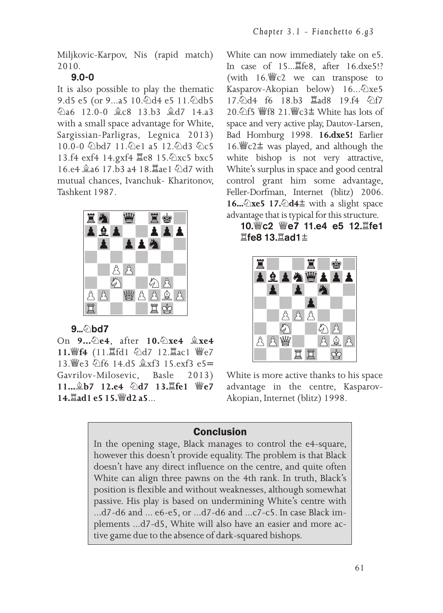Miljkovic-Karpov, Nis (rapid match) 2010.

### 9.0-0

It is also possible to play the the matic 9.d5 e5 (or 9...a5 10.  $\triangle$ d4 e5 11.  $\triangle$ db5  $\textcircled{2a6}$  12.0-0  $\textcircled{2c8}$  13.b3  $\textcircled{2d7}$  14.a3 with a small space advantage for White, Sargissian-Parligras, Legnica 2013) 10.0-0 公bd7 11.公e1 a5 12.公d3 公c5 13.f4 exf4 14.gxf4 Ie8 15. 公xc5 bxc5 16.e4 **ga6** 17.b3 a4 18. ae1 公d7 with mu tual chances, Ivanchuk- Kharitonov, Tashkent 1987.



9... **hd7** 

On 9... De4, after 10. Dxe4  $\&$ xe4 11. F4 (11.  $\mathbb{E}$ fd1 2d7 12.  $\mathbb{E}$ ac1 曾e7 13. @e3 \f6 14.d5 \exf3 15.exf3 e5= Gavrilov-Milosevic, Basle 2013) **11...** \$**b7** 12.e4 公d7 13. Life1 曾e7 **14.Õad1 e5 15.©d2 a5**...

White can now immediately take on e5. In case of  $15...\overline{2}$  fe8, after  $16.\overline{d}$  xe5!? (with  $16.\n\text{Wc2}$  we can transpose to Kasparov-Akopian below) 16... $\&$ xe5 17.6\d4 f6 18.b3  $\Xi$ ad8 19.f4  $\Im$ f7  $20.$  介f5 彎f8 21. 彎c3± White has lots of space and very active play, Dautov-Larsen, Bad Homburg 1998. 16.dxe5! Earlier 16.  $\angle$  c2  $\pm$  was played, and although the white bishop is not very attractive, White's surplus in space and good central control grant him some advantage, Feller-Dorfman, Internet (blitz) 2006. 16... $\triangle$ xe5 17. $\triangle$ d4 $\pm$  with a slight space advantage that is typical for this structure.

10. @c2 @e7 11.e4 e5 12. Life1  $\mathbb{\tilde{H}}$ fe8 13. $\mathbb{\tilde{H}}$ ad1 $\pm$ 



White is more active thanks to his space advantage in the centre, Kasparov-Akopian, Internet (blitz) 1998.

### **Conclusion**

In the opening stage, Black manages to control the e4-square, however this doesn't provide equality. The problem is that Black doesn't have any direct influence on the centre, and quite often White can align three pawns on the 4th rank. In truth, Black's position is flexible and without weaknesses, although somewhat passive. His play is based on undermining White's centre with ...d7-d6 and ... e6-e5, or ...d7-d6 and ...c7-c5. In case Black implements ...d7-d5, White will also have an easier and more active game due to the absence of dark-squared bishops.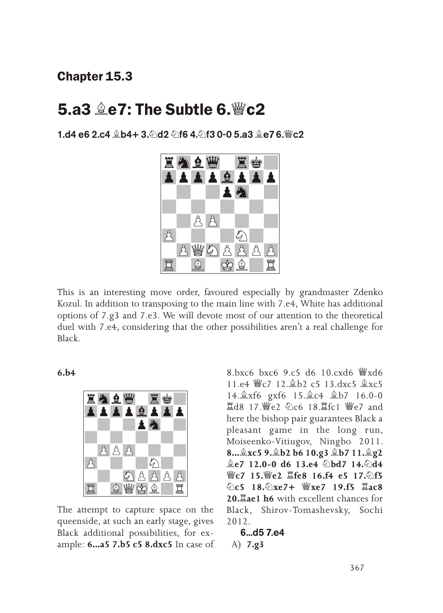### **Chapter 15.3**

### 5.a3 ge7: The Subtle 6. Wc2

1.d4 e6 2.c4 இb4+ 3. Ad2 Af6 4. Af3 0-0 5.a3 இe7 6.  $\degree$  c2



This is an interesting move order, favoured especially by grandmaster Zdenko Kozul. In addition to transposing to the main line with 7.e4, White has additional options of 7.g3 and 7.e3. We will devote most of our attention to the theoretical duel with 7.e4, considering that the other possibilities aren't a real challenge for Black

 $6.h4$ 



The attempt to capture space on the queenside, at such an early stage, gives Black additional possibilities, for example: 6...a5 7.b5 c5 8.dxc5 In case of

 $8.6x$ c6 bxc6 9.c5 d6 10.cxd6  $\frac{36}{2}$ xd6 11.e4 曾c7 12. b2 c5 13.dxc5 盒xc5 14. kxf6 gxf6 15. kc4 kb7 16.0-0 **Id8 17.曾e2 2c6 18. fc1 曾e7 and** here the bishop pair guarantees Black a pleasant game in the long run, Moiseenko-Vitiugov, Ningbo 2011. 8... xc5 9. b2 b6 10.g3 gb7 11. g2 奠e7 12.0-0 d6 13.e4 公bd7 14.公d4 彎c7 15.彎e2 耳fe8 16.f4 e5 17.公f5 **©c5** 18. ©xe7+ ₩xe7 19.f5 Xac8 20. ae1 h6 with excellent chances for Black, Shirov-Tomashevsky, Sochi  $2012$ 

6...d5 7.e4 A)  $7.83$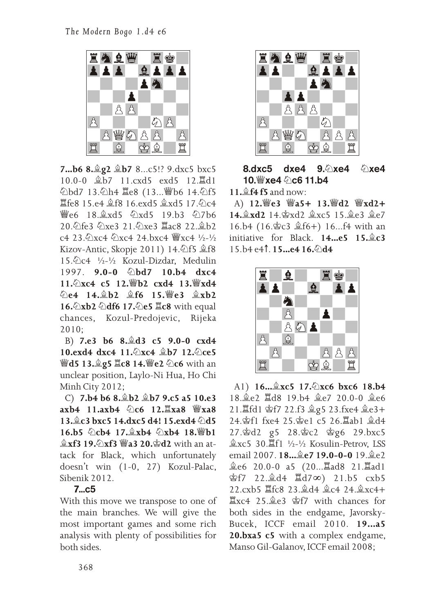

**7...b6 8.Ãg2 Ãb7** 8...c5!? 9.dxc5 bxc5 10.0-0 盒b7 11.cxd5 exd5 12. al **△bd7 13.△h4 Ⅲe8 (13...曾b6 14.△f5**  $E$ fe8 15.e4  $E$ f8 16.exd5  $E$ xd5 17.2c4 <sup>幽</sup>e6 18. <del>g</del>xd5 のxd5 19.b3 の7b6 20.外fe3 外xe3 21.外xe3 耳ac8 22.鼻b2 c4 23.  $\sqrt{2}xC4$   $\sqrt{2}xC4$  24. bxc4  $\sqrt[1]{2}xC4$   $\sqrt[1]{2}-\sqrt{2}$ Kizov-Antic, Skopje 2011)  $14.\text{\textcircled{2}}\mathsf{f}5 \text{ \textcircled{2}}\mathsf{f}8$ 15.Àc4 ½-½ Kozul-Dizdar, Medulin 1997. **9.0-0 Àbd7 10.b4 dxc4 11.Àxc4 c5 12.©b2 cxd4 13.©xd4 Àe4 14.Ãb2 Ãf6 15.©e3 Ãxb2 16.Àxb2 Àdf6 17.Àe5 Õc8** with equal chances, Kozul-Predojevic, Rijeka 2010;

 B) **7.e3 b6 8.Ãd3 c5 9.0-0 cxd4 10.exd4 dxc4 11.Àxc4 Ãb7 12.Àce5 ©d5 13.Ãg5 Õc8 14.©e2 Àc6** with an unclear position, Laylo-Ni Hua, Ho Chi Minh City 2012;

 C) **7.b4 b6 8.Ãb2 Ãb7 9.c5 a5 10.e3 axb4 11.axb4 Àc6 12.Õxa8 ©xa8 13.Ãc3 bxc5 14.dxc5 d4! 15.exd4 Àd5 16.b5 Àcb4 17.Ãxb4 Àxb4 18.©b1 Åxf3 19. Axf3 @a3 20. @d2** with an attack for Black, which unfortunately doesn't win (1-0, 27) Kozul-Palac, Sibenik 2012.

#### 7...c5

With this move we transpose to one of the main branches. We will give the most important games and some rich analysis with plenty of possibilities for both sides.



 $8.\text{dxc5}$  dxe4  $9.\text{\&}$ xe4  $\text{\&}$ xe4 10. @xe4 2c6 11.b4

**11.Ãf4 f5** and now:

 A) **12.©e3 ©a5+ 13.©d2 ©xd2+ 14. Åxd2** 14. \$xd2 **Åxc5** 15. **Åe3 Åe7** 16.b4 (16. $\text{Sc3}$   $\text{L}$ f6+) 16...f4 with an initiative for Black. **14...e5 15.** $\angle$ **c3** 15.b4 e4Ê. **15...e4 16.Àd4**



 A1) **16...Ãxc5 17.Àxc6 bxc6 18.b4** 18. 免e2 耳d8 19. b4 臭e7 20. 0-0 臭e6 21. 當fd1 會f7 22.f3 奠g5 23.fxe4 奠e3+ 24. 宫f1 fxe4 25. 宫e1 c5 26. 罝ab1 鼻d4 27.®d2 g5 28.®c2 ®g6 29.bxc5 **盒xc5 30.** $[$ f1 ½-½ Kosulin-Petrov, LSS email 2007. **18...Ãe7 19.0-0-0** 19.Ãe2 Ãe6 20.0-0 a5 (20...Õad8 21.Õad1 ®f7 22.Ãd4 Õd7º) 21.b5 cxb5 22.cxb5 Õfc8 23.Ãd4 Ãc4 24.Ãxc4+  $\mathbb{Z}$ xc4 25. $\mathbb{A}$ e3 \$f7 with chances for both sides in the endgame, Javorsky-Bucek, ICCF email 2010. **19...a5 20.bxa5 c5** with a complex endgame, Manso Gil-Galanov, ICCF email 2008;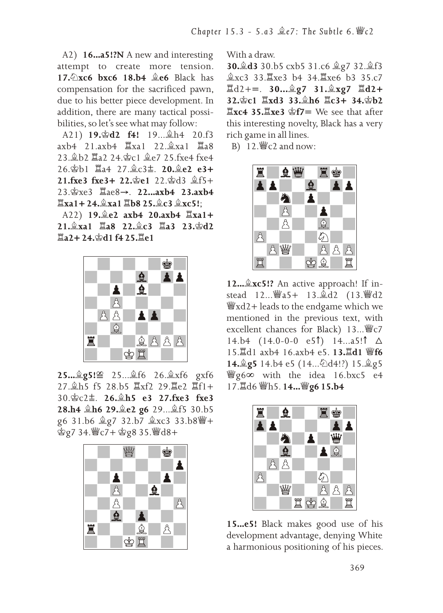A2) 16...a5!?N A new and interesting attempt to create more tension. 17.2xc6 bxc6 18.b4 ge6 Black has compensation for the sacrificed pawn. due to his better piece development. In addition, there are many tactical possibilities, so let's see what may follow:

A21) 19. d2 f4! 19. h4 20. f3 axb4 21.axb4 Ixa1 22. xa1 Ia8 23. b2 耳a2 24. 空c1 鼻e7 25. fxe4 fxe4 26. gb1 耳a4 27. gc3±, 20. ge2 e3+ 21.fxe3 fxe3+ 22.曾e1 22.曾d3 盒f5+ 23. \$xe3 Iae8→. 22...axb4 23.axb4  $\Xi$ xa1 + 24. $\angle$ xa1 $\Xi$ b8 25. $\angle$ c3  $\angle$ xc5!:

A22) 19. e2 axb4 20. axb4 Ixa1+ 21. xa1 国a8 22. c3 国a3 23. 空d2 **耳a2+24. ☆d1 f4 25. 耳e1** 



25... g5!≌ 25... gf6 26. gxf6 gxf6 27. h5 f5 28.b5 耳xf2 29. le2 耳f1+  $30.\&c2 \pm 26.\&h5$  e3 27.fxe3 fxe3 28.h4 鱼h6 29.鱼e2 g6 29...鱼f5 30.b5 宫g7 34. 曾c7+宫g8 35. 曾d8+



With a draw.

30. d 3 30. b 5 cxb 5 31. c 6 g 7 32. g f 3 盒xc3 33. xe3 b4 34. Xxe6 b3 35.c7  $\angle 12 +=$ . 30... $\angle 2g7$  31. $\angle xg7$   $\angle 12+$  $32.\text{Sc1}$   $\overline{2}xd3$   $33.\text{ch6}$   $\overline{2}c3+34.\text{ch2}$  $\Xi$ xc4 35. $\Xi$ xe3  $\hat{\mathfrak{D}}$ f7= We see that after this interesting novelty, Black has a very rich game in all lines.

B)  $12.\n%c2$  and now:



12... &xc5!? An active approach! If instead 12... 曾a5+ 13. gd2 (13. 曾d2  $\frac{w}{2}$ xd2+ leads to the endgame which we mentioned in the previous text, with excellent chances for Black) 13... 響c7 14.b4  $(14.0-0-0$  e5<sup> $\uparrow$ </sup>) 14...a5! $\uparrow$   $\Delta$ 15. d1 axb4 16.axb4 e5. 13. d1 響f6 14. g5 14. b4 e5 (14. . 2d4!?) 15. g5 *W*g<sub>6</sub>∞ with the idea 16.bxc5 e4 17. d6 響h5. 14... 響g6 15.b4



15...e5! Black makes good use of his development advantage, denying White a harmonious positioning of his pieces.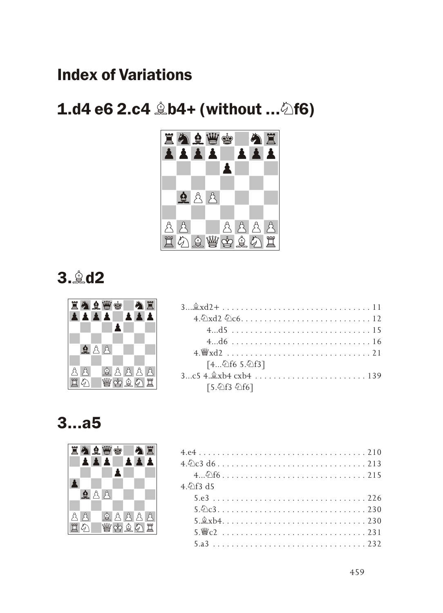# **Index of Variations**

# $1. d4 e6 2.c4 \& b4 + (without ... \& f6)$



3. **42** 



|    | 直身真曹空 |  |       |  |                             |
|----|-------|--|-------|--|-----------------------------|
|    |       |  |       |  | $4.9 \times 12.9 \times 6.$ |
|    |       |  |       |  |                             |
|    |       |  |       |  |                             |
|    | 98    |  |       |  | $4 \le x d$                 |
|    |       |  |       |  | [446 5.46]                  |
|    |       |  |       |  |                             |
| 買め |       |  | 幽空鱼公置 |  | [5. 公f3 公f6]                |

# 3...a5



| 直身全曹雪          |                                                                 |
|----------------|-----------------------------------------------------------------|
| <b>TAALALA</b> |                                                                 |
|                |                                                                 |
| A STATISTICS   | 4.6\f3 d5                                                       |
| 自负负<br>.       |                                                                 |
|                |                                                                 |
| $A A A B$<br>A | $5.\&xb4.\dots\dots\dots\dots\dots\dots\dots\dots\dots\dots230$ |
| 買め<br>- 幽空食の買  |                                                                 |
|                |                                                                 |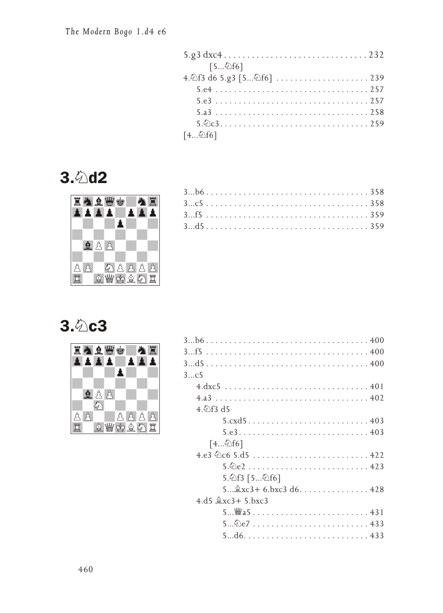| [5公f6]                                                                            |
|-----------------------------------------------------------------------------------|
|                                                                                   |
|                                                                                   |
|                                                                                   |
|                                                                                   |
| $5.\circledcirc$ $3.\circ\dots\dots\dots\dots\dots\dots\dots\dots\dots\dots\dots$ |
| [446]                                                                             |

# 3. 2d2



# **3. 2c3**

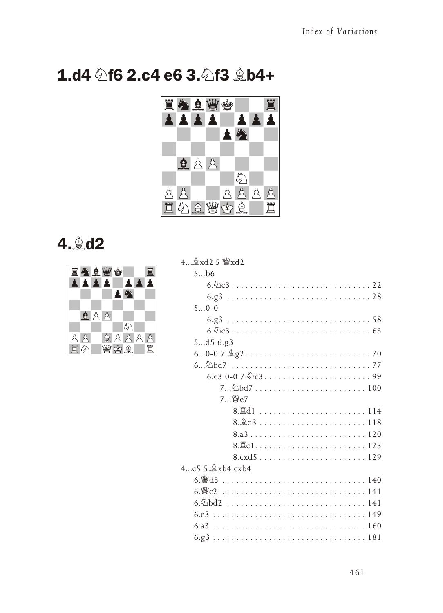# 1.d4 **公f6 2.c4 e6 3.公f3 b4+**



# 4. **4.**



| 4 gxd2 5. 曾xd2                                                                   |
|----------------------------------------------------------------------------------|
| 5b6                                                                              |
|                                                                                  |
|                                                                                  |
| $50-0$                                                                           |
|                                                                                  |
|                                                                                  |
| 5d56.g3                                                                          |
|                                                                                  |
|                                                                                  |
|                                                                                  |
|                                                                                  |
| 7. \∰e7                                                                          |
|                                                                                  |
| $8.\&d3\ldots\ldots\ldots\ldots\ldots\ldots\ldots\ldots\ldots\ldots\ldots\ldots$ |
| 8.a3120                                                                          |
|                                                                                  |
| 8.cxd5129                                                                        |
| 4 $c5.9$ xb4 $cx$ b4                                                             |
|                                                                                  |
|                                                                                  |
|                                                                                  |
|                                                                                  |
|                                                                                  |
|                                                                                  |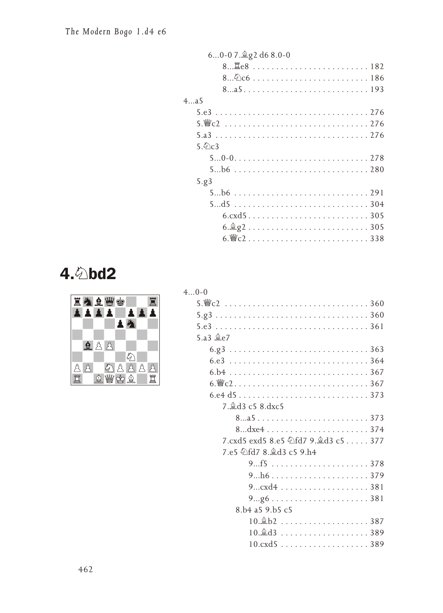| 60-07. g2 d6 8.0-0                                                                                                                                                                                                           |
|------------------------------------------------------------------------------------------------------------------------------------------------------------------------------------------------------------------------------|
| 8 <sup>置</sup> e8  182                                                                                                                                                                                                       |
|                                                                                                                                                                                                                              |
|                                                                                                                                                                                                                              |
| 4a5                                                                                                                                                                                                                          |
|                                                                                                                                                                                                                              |
| $5.\n\&c2\n \n \n \n \n \n \n276$                                                                                                                                                                                            |
|                                                                                                                                                                                                                              |
| 5.6c3                                                                                                                                                                                                                        |
|                                                                                                                                                                                                                              |
|                                                                                                                                                                                                                              |
| 5.g3                                                                                                                                                                                                                         |
|                                                                                                                                                                                                                              |
|                                                                                                                                                                                                                              |
| $6. \text{cxd}5 \ldots \ldots \ldots \ldots \ldots \ldots \ldots \ldots 305$                                                                                                                                                 |
|                                                                                                                                                                                                                              |
| 6. Felix contracts and $6.$ FeC $1.001$ . The set of $1.001$ and $1.001$ and $1.001$ and $1.001$ and $1.001$ and $1.001$ and $1.001$ and $1.001$ and $1.001$ and $1.001$ and $1.001$ and $1.001$ and $1.001$ and $1.001$ and |

# 4. 2 bd2



| $40-0$                                                                                |
|---------------------------------------------------------------------------------------|
|                                                                                       |
|                                                                                       |
|                                                                                       |
| 5.a3 $$e7$                                                                            |
|                                                                                       |
|                                                                                       |
|                                                                                       |
|                                                                                       |
|                                                                                       |
| 7. gd3 c5 8.dxc5                                                                      |
|                                                                                       |
|                                                                                       |
|                                                                                       |
| 7.e5 公fd7 8. d3 c5 9.h4                                                               |
|                                                                                       |
|                                                                                       |
|                                                                                       |
|                                                                                       |
| 8.b4 a5 9.b5 c5                                                                       |
| $10.\&b2\ldots\ldots\ldots\ldots\ldots\ldots\ldots\,387$                              |
| $10.\overset{\circ}{\otimes} d3 \ldots \ldots \ldots \ldots \ldots \ldots \ldots 389$ |
| 10.cxd5 389                                                                           |